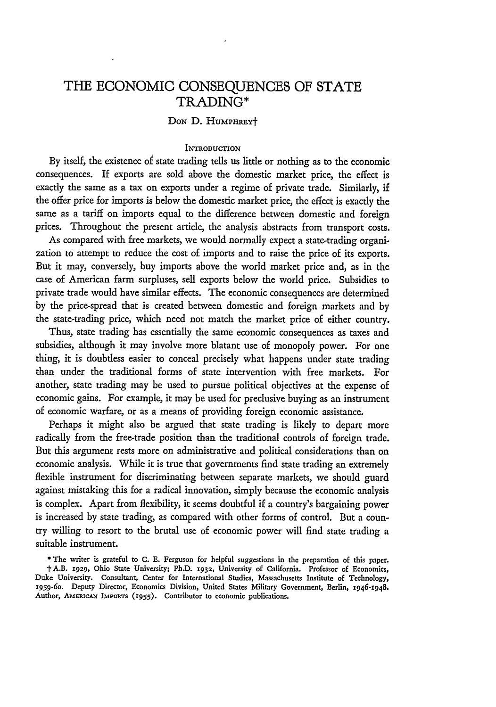# **THE** ECONOMIC **CONSEQUENCES** OF **STATE** TRADING\*

#### DON D. HUMPHREY<sup>+</sup>

#### **INTRODUCTION**

By itself, the existence of state trading tells us little or nothing as to the economic consequences. If exports are sold above the domestic market price, the effect is exactly the same as a tax on exports under a regime of private trade. Similarly, if the offer price for imports is below the domestic market price, the effect is exacdy the same as a tariff on imports equal to the difference between domestic and foreign prices. Throughout the present article, the analysis abstracts from transport costs.

As compared with free markets, we would normally expect a state-trading organization to attempt to reduce the cost of imports and to raise the price of its exports. But it may, conversely, buy imports above the world market price and, as in the case of American farm surpluses, sell exports below the world price. Subsidies to private trade would have similar effects. The economic consequences are determined by the price-spread that is created between domestic and foreign markets and by the state-trading price, which need not match the market price of either country.

Thus, state trading has essentially the same economic consequences as taxes and subsidies, although it may involve more blatant use of monopoly power. For one thing, it is doubtless easier to conceal precisely what happens under state trading than under the traditional forms of state intervention with free markets. For another, state trading may be used to pursue political objectives at the expense of economic gains. For example, it may be used for preclusive buying as an instrument of economic warfare, or as a means of providing foreign economic assistance.

Perhaps it might also be argued that state trading is likely to depart more radically from the free-trade position than the traditional controls of foreign trade. But this argument rests more on administrative and political considerations than on economic analysis. While it is true that governments find state trading an extremely flexible instrument for discriminating between separate markets, we should guard against mistaking this for a radical innovation, simply because the economic analysis is complex. Apart from flexibility, it seems doubtful if a country's bargaining power is increased by state trading, as compared with other forms of control. But a country willing to resort to the brutal use of economic power will find state trading a suitable instrument.

<sup>\*</sup>The writer is grateful **to C. E.** Ferguson **for** helpful suggestions in the preparation of this **paper.** tA.B. **1929,** Ohio State University; Ph.D. **1932,** University of California. Professor of Economies, Duke University. Consultant, Center for International Studies, Massachusetts Institute **of** Technology, 1959-6o. Deputy Director, Economics Division, United States Military Government, Berlin, 1946-1948. Author, AMERICAN IMPORTS (1955). Contributor to economic publications.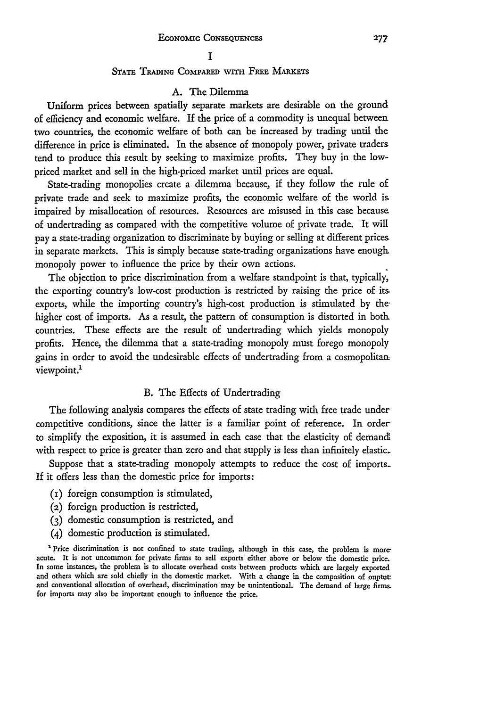#### I

## STATE TRADING COMPARED WITH FREE MARKETS

## A. The Dilemma

Uniform prices between spatially separate markets are desirable on the ground of efficiency and economic welfare. If the price of a commodity is unequal between two countries, the economic welfare of both can be increased by trading until the difference in price is eliminated. In the absence of monopoly power, private traders tend to produce this result by seeking to maximize profits. They buy in the lowpriced market and sell in the high-priced market until prices are equal.

State-trading monopolies create a dilemma because, if they follow the rule of private trade and seek to maximize profits, the economic welfare of the world **is.** impaired by misallocation of resources. Resources are misused in this case because of undertrading as compared with the competitive volume of private trade. It will pay a state-trading organization to discriminate by buying or selling at different prices in separate markets. This is simply because state-trading organizations have enough. monopoly power to influence the price by their own actions.

The objection to price discrimination from a welfare standpoint is that, typically, the exporting country's low-cost production is restricted by raising the price of its. exports, while the importing country's high-cost production is stimulated by thehigher cost of imports. As a result, the pattern of consumption is distorted in both. countries. These effects are the result of undertrading which yields monopoly profits. Hence, the dilemma that a state-trading monopoly must forego monopoly gains in order to avoid the undesirable effects of undertrading from a cosmopolitan= viewpoint.<sup>1</sup>

## B. The Effects of Undertrading

The following analysis compares the effects of state trading with free trade under competitive conditions, since the latter is a familiar point of reference. In order to simplify the exposition, it is assumed in each case that the elasticity of demand, with respect to price is greater than zero and that supply is less than infinitely elastic.

Suppose that a state-trading monopoly attempts to reduce the cost of imports. If it offers less than the domestic price for imports:

- (I) foreign consumption is stimulated,
- **(2)** foreign production is restricted,
- **(3)** domestic consumption is restricted, and
- (4) domestic production is stimulated.

<sup>1</sup> Price discrimination is not confined to state trading, although in this case, the problem is moreacute. It is not uncommon for private firms to sell exports either above or below the domestic price. In some instances, the problem is to allocate overhead costs between products which are largely exported and others which are sold chiefly in the domestic market. With a change in the composition of ouptut and conventional allocation of overhead, discrimination may be unintentional. The demand of large firms. for imports may also be important enough to influence the price.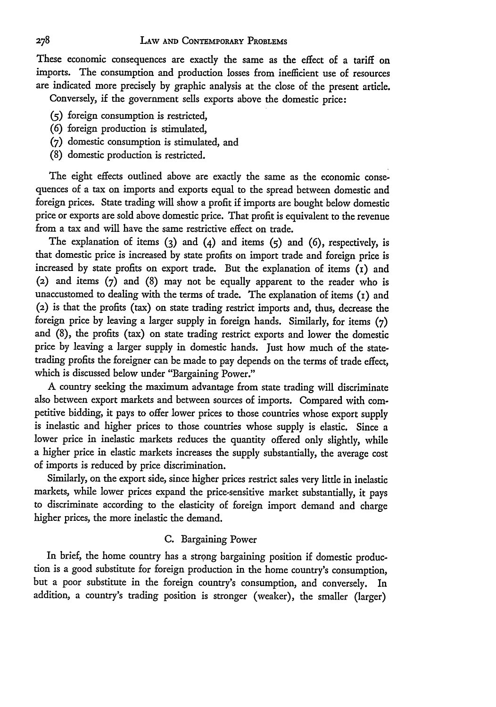These economic consequences are exactly the same as the effect of a tariff on imports. The consumption and production losses from inefficient use of resources are indicated more precisely by graphic analysis at the close of the present article.

Conversely, if the government sells exports above the domestic price:

- (5) foreign consumption is restricted,
- (6) foreign production is stimulated,
- **(7)** domestic consumption is stimulated, and
- (8) domestic production is restricted.

The eight effects outlined above are exactly the same as the economic consequences of a tax on imports and exports equal to the spread between domestic and foreign prices. State trading will show a profit if imports are bought below domestic price or exports are sold above domestic price. That profit is equivalent to the revenue from a tax and will have the same restrictive effect on trade.

The explanation of items **(3)** and (4) and items **(5)** and (6), respectively, is that domestic price is increased by state profits on import trade and foreign price is increased by state profits on export trade. But the explanation of items (x) and (2) and items **(7)** and (8) may not be equally apparent to the reader who is unaccustomed to dealing with the terms of trade. The explanation of items  $(1)$  and (2) is that the profits (tax) on state trading restrict imports and, thus, decrease the foreign price by leaving a larger supply in foreign hands. Similarly, for items (7) and (8), the profits (tax) on state trading restrict exports and lower the domestic price by leaving a larger supply in domestic hands. Just how much of the statetrading profits the foreigner can be made to pay depends on the terms of trade effect, which is discussed below under "Bargaining Power."

A country seeking the maximum advantage from state trading will discriminate also between export markets and between sources of imports. Compared with competitive bidding, it pays to offer lower prices to those countries whose export supply is inelastic and higher prices to those countries whose supply is elastic. Since a lower price in inelastic markets reduces the quantity offered only slightly, while a higher price in elastic markets increases the supply substantially, the average cost of imports is reduced by price discrimination.

Similarly, on the export side, since higher prices restrict sales very little in inelastic markets, while lower prices expand the price-sensitive market substantially, it pays to discriminate according to the elasticity of foreign import demand and charge higher prices, the more inelastic the demand.

#### C. Bargaining Power

In brief, the home country has a strong bargaining position if domestic production is a good substitute for foreign production in the home country's consumption, but a poor substitute in the foreign country's consumption, and conversely. In addition, a country's trading position is stronger (weaker), the smaller (larger)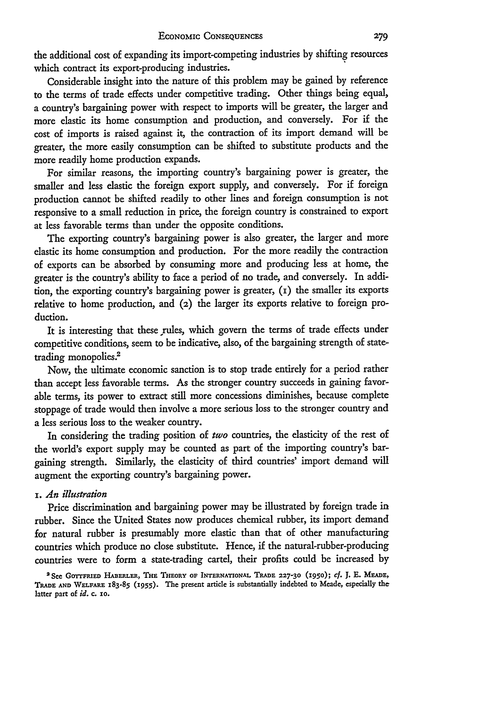the additional cost of expanding its import-competing industries by shifting resources which contract its export-producing industries.

Considerable insight into the nature of this problem may be gained by reference to the terms of trade effects under competitive trading. Other things being equal, a country's bargaining power with respect to imports will be greater, the larger and more elastic its home consumption and production, and conversely. For if the cost of imports is raised against it, the contraction of its import demand will be greater, the more easily consumption can be shifted to substitute products and the more readily home production expands.

For similar reasons, the importing country's bargaining power is greater, the smaller and less elastic the foreign export supply, and conversely. For if foreign production cannot be shifted readily to other lines and foreign consumption is not responsive to a small reduction in price, the foreign country is constrained to export at less favorable terms than under the opposite conditions.

The exporting country's bargaining power is also greater, the larger and more elastic its home consumption and production. For the more readily the contraction of exports can be absorbed by consuming more and producing less at home, the greater is the country's ability to face a period of no trade, and conversely. In addition, the exporting country's bargaining power is greater,  $(1)$  the smaller its exports relative to home production, and (2) the larger its exports relative to foreign production.

It is interesting that these rules, which govern the terms of trade effects under competitive conditions, seem to be indicative, also, of the bargaining strength of statetrading monopolies.2

Now, the ultimate economic sanction is to stop trade entirely for a period rather than accept less favorable terms. As the stronger country succeeds in gaining favorable terms, its power to extract still more concessions diminishes, because complete stoppage of trade would then involve a more serious loss to the stronger country and a less serious loss to the weaker country.

In considering the trading position of *two* countries, the elasticity of the rest of the world's export supply may be counted as part of the importing country's bargaining strength. Similarly, the elasticity of third countries' import demand will augment the exporting country's bargaining power.

#### I. *An illustration*

Price discrimination and bargaining power may be illustrated by foreign trade in rubber. Since the United States now produces chemical rubber, its import demand for natural rubber is presumably more elastic than that of other manufacturing countries which produce no close substitute. Hence, if the natural-rubber-producing countries were to form a state-trading cartel, their profits could be increased by

<sup>2</sup> see **GoTrrP'ED** HABPRLER, THE THEORY OF **INTERNATiONAL** TRADE **227-30 (1950); 4-** *J.* **E. MEADE,** TRADE **AND** WELAE x83-85 **(x955).** The present article is substantially indebted to Meade, especially the latter part of *id.* **c. io.**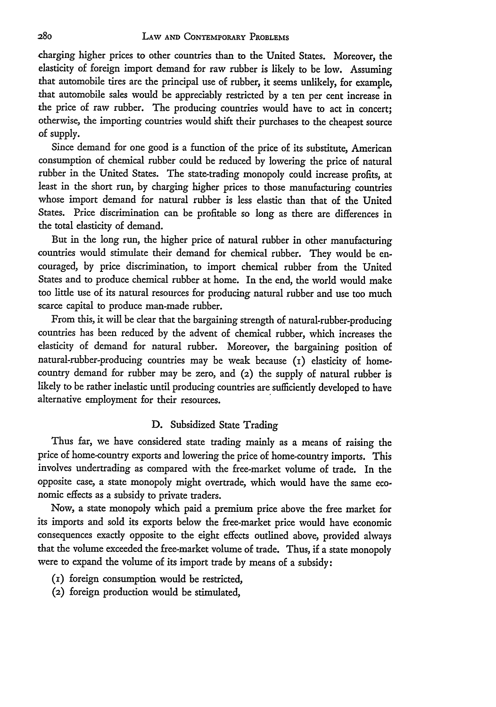charging higher prices to other countries than to the United States. Moreover, the elasticity of foreign import demand for raw rubber is likely to be low. Assuming that automobile tires are the principal use of rubber, it seems unlikely, for example, that automobile sales would be appreciably restricted by a ten per cent increase in the price of raw rubber. The producing countries would have to act in concert; otherwise, the importing countries would shift their purchases to the cheapest source of supply.

Since demand for one good is a function of the price of its substitute, American consumption of chemical rubber could be reduced by lowering the price of natural rubber in the United States. The state-trading monopoly could increase profits, at least in the short run, by charging higher prices to those manufacturing countries whose import demand for natural rubber is less elastic than that of the United States. Price discrimination can be profitable so long as there are differences in the total elasticity of demand.

But in the long run, the higher price of natural rubber in other manufacturing countries would stimulate their demand for chemical rubber. They would be encouraged, by price discrimination, to import chemical rubber from the United States and to produce chemical rubber at home. In the end, the world would make too little use of its natural resources for producing natural rubber and use too much scarce capital to produce man-made rubber.

From this, it will be clear that the bargaining strength of natural-rubber-producing countries has been reduced by the advent of chemical rubber, which increases the elasticity of demand for natural rubber. Moreover, the bargaining position of natural-rubber-producing countries may be weak because (i) elasticity of homecountry demand for rubber may be zero, and (2) the supply of natural rubber is likely to be rather inelastic until producing countries are sufficiently developed to have alternative employment for their resources.

# D. Subsidized State Trading

Thus far, we have considered state trading mainly as a means of raising the price of home-country exports and lowering the price of home-country imports. This involves undertrading as compared with the free-market volume of trade. In the opposite case, a state monopoly might overtrade, which would have the same economic effects as a subsidy to private traders.

Now, a state monopoly which paid a premium price above the free market for its imports and sold its exports below the free-market price would have economic consequences exactly opposite to the eight effects outlined above, provided always that the volume exceeded the free-market volume of trade. Thus, if a state monopoly were to expand the volume of its import trade by means of a subsidy:

- (i) foreign consumption would be restricted,
- (2) foreign production would be stimulated,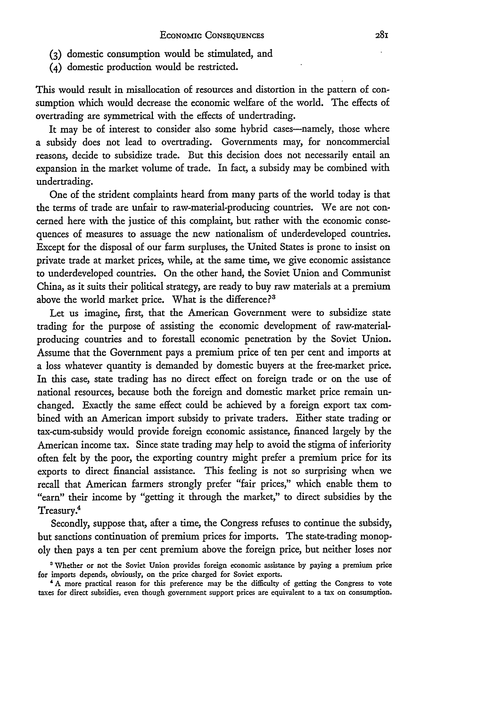- **(3)** domestic consumption would be stimulated, and
- (4) domestic production would be restricted.

This would result in misallocation of resources and distortion in the pattern of consumption which would decrease the economic welfare of the world. The effects of overtrading are symmetrical with the effects of undertrading.

It may be of interest to consider also some hybrid cases—namely, those where a subsidy does not lead to overtrading. Governments may, for noncommercial reasons, decide to subsidize trade. But this decision does not necessarily entail an expansion in the market volume of trade. In fact, a subsidy may be combined with undertrading.

One of the strident complaints heard from many parts of the world today is that the terms of trade are unfair to raw-material-producing countries. We are not concerned here with the justice of this complaint, but rather with the economic consequences of measures to assuage the new nationalism of underdeveloped countries. Except for the disposal of our farm surpluses, the United States is prone to insist on private trade at market prices, while, at the same time, we give economic assistance to underdeveloped countries. On the other hand, the Soviet Union and Communist China, as it suits their political strategy, are ready to buy raw materials at a premium above the world market price. What is the difference?<sup>3</sup>

Let us imagine, first, that the American Government were to subsidize state trading for the purpose of assisting the economic development of raw-materialproducing countries and to forestall economic penetration by the Soviet Union. Assume that the Government pays a premium price of ten per cent and imports at a loss whatever quantity is demanded by domestic buyers at the free-market price. In this case, state trading has no direct effect on foreign trade or on the use of national resources, because both the foreign and domestic market price remain unchanged. Exactly the same effect could be achieved by a foreign export tax combined with an American import subsidy to private traders. Either state trading or tax-cum-subsidy would provide foreign economic assistance, financed largely by the American income tax. Since state trading may help to avoid the stigma of inferiority often felt by the poor, the exporting country might prefer a premium price for its exports to direct financial assistance. This feeling is not so surprising when we recall that American farmers strongly prefer "fair prices," which enable them to "earn" their income by "getting it through the market," to direct subsidies by the Treasury.<sup>4</sup>

Secondly, suppose that, after a time, the Congress refuses to continue the subsidy, but sanctions continuation of premium prices for imports. The state-trading monopoly then pays a ten per cent premium above the foreign price, but neither loses nor

<sup>&</sup>lt;sup>3</sup> Whether or not the Soviet Union provides foreign economic assistance by paying a premium price for imports depends, obviously, on the price charged for Soviet exports.

**<sup>&#</sup>x27;** A more practical reason for this preference may be the difficulty of getting the Congress to vote taxes for direct subsidies, even though government support prices are equivalent to a tax on consumption.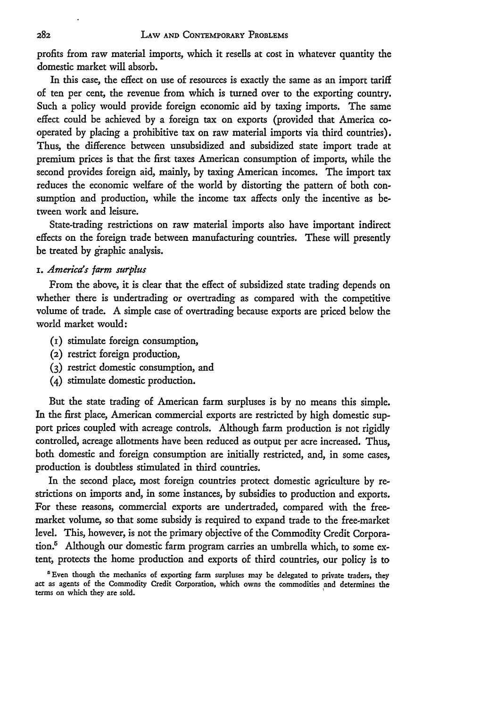profits from raw material imports, which it resells at cost in whatever quantity the domestic market will absorb.

In this case, the effect on use of resources is exactly the same as an import tariff of ten per cent, the revenue from which is turned over to the exporting country. Such a policy would provide foreign economic aid by taxing imports. The same effect could be achieved by a foreign tax on exports (provided that America cooperated by placing a prohibitive tax on raw material imports via third countries). Thus, the difference between unsubsidized and subsidized state import trade at premium prices is that the first taxes American consumption of imports, while the second provides foreign aid, mainly, by taxing American incomes. The import tax reduces the economic welfare of the world by distorting the pattern of both consumption and production, while the income tax affects only the incentive as between work and leisure.

State-trading restrictions on raw material imports also have important indirect effects on the foreign trade between manufacturing countries. These will presently be treated **by** graphic analysis.

#### *i. America's farm surplus*

From the above, it is clear that the effect of subsidized state trading depends on whether there is undertrading or overtrading as compared with the competitive volume of trade. A simple case of overtrading because exports are priced below the world market would:

- **(i)** stimulate foreign consumption,
- (2) restrict foreign production,
- **(3)** restrict domestic consumption, and
- (4) stimulate domestic production.

But the state trading of American farm surpluses is by no means this simple. In the first place, American commercial exports are restricted by high domestic support prices coupled with acreage controls. Although farm production is not rigidly controlled, acreage allotments have been reduced as output per acre increased. Thus, both domestic and foreign consumption are initially restricted, and, in some cases, production is doubtless stimulated in third countries.

In the second place, most foreign countries protect domestic agriculture by restrictions on imports and, in some instances, by subsidies to production and exports. For these reasons, commercial exports are undertraded, compared with the freemarket volume, so that some subsidy is required to expand trade to the free-market level. This, however, is not the primary objective of the Commodity Credit Corporation.5 Although our domestic farm program carries an umbrella which, to some extent, protects the home production and exports of third countries, our policy is to

<sup>&</sup>lt;sup>5</sup> Even though the mechanics of exporting farm surpluses may be delegated to private traders, they act as agents **of** the Commodity Credit Corporation, which owns the commodities and determines the terms on which they are sold.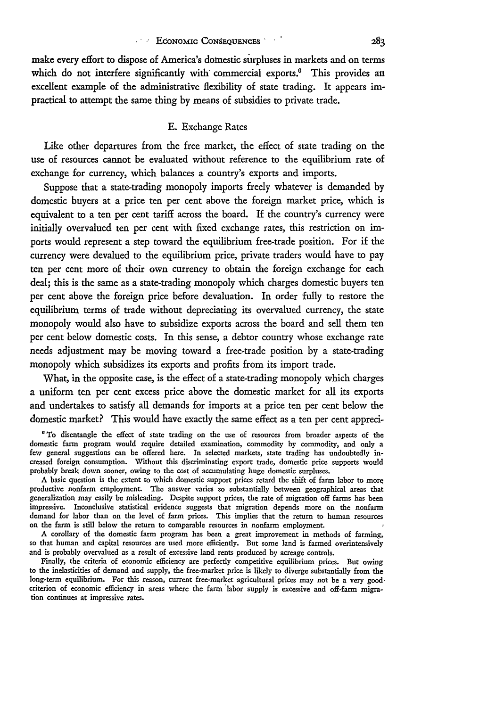make every effort to dispose of America's domestic surpluses in markets and on terms which do not interfere significantly with commercial exports.<sup>6</sup> This provides an excellent example of the administrative flexibility of state trading. It appears **im**practical to attempt the same thing **by** means of subsidies to private trade.

#### **E.** Exchange Rates

Like other departures from the free market, the effect of state trading on the use of resources cannot be evaluated without reference to the equilibrium rate of exchange for currency, which balances a country's exports and imports.

Suppose that a state-trading monopoly imports freely whatever is demanded **by** domestic buyers at a price ten per cent above the foreign market price, which is equivalent to a ten per cent tariff across the board. If the country's currency were initially overvalued ten per cent with fixed exchange rates, this restriction on imports would represent a step toward the equilibrium free-trade position. For if the currency were devalued to the equilibrium price, private traders would have to pay ten per cent more of their own currency to obtain the foreign exchange for each deal; this is the same as a state-trading monopoly which charges domestic buyers ten per cent above the foreign price before devaluation. In order fully to restore the equilibrium terms of trade without depreciating its overvalued currency, the state monopoly would also have to subsidize exports across the board and sell them ten per cent below domestic costs. In this sense, a debtor country whose exchange rate needs adjustment may be moving toward a free-trade position by a state-trading monopoly which subsidizes its exports and profits from its import trade.

What, in the opposite case, is the effect of a state-trading monopoly which charges a uniform ten per cent excess price above the domestic market for all its exports and undertakes to satisfy all demands for imports at a price ten per cent below the domestic market? This would have exactly the same effect as a ten per cent appreci-

<sup>0</sup> To disentangle the effect of state trading on the use of resources from broader aspects of the domestic farm program would require detailed examination, commodity by commodity, and only a few general suggestions can be offered here. In selected markets, state trading has undoubtedly increased foreign consumption. Without this discriminating export trade, domestic price supports would probably break down sooner, owing to the cost of accumulating huge domestic surpluses.

A basic question is the extent to which domestic support prices retard the shift of farm labor to more productive nonfarm employment. The answer varies so substantially between geographical areas that generalization may easily be misleading. Despite support prices, the rate of migration off farms has been impressive. Inconclusive statistical evidence suggests that migration depends more on the nonfarm demand for labor than on the level of farm prices. This implies that the return to human resources on the farm is still below the return to comparable resources in nonfarm employment.

A corollary of the domestic farm program has been a great improvement in methods of farming, so that human and capital resources are used more efficiently. But some land is farmed overintensively and is probably overvalued as a result of excessive land rents produced by acreage controls.

Finally, the criteria of economic efficiency are perfectly competitive equilibrium prices. But owing to the inelasticities of demand and supply, the free-market price is likely to diverge substantially from the long-term equilibrium. For this reason, current free-market agricultural prices may not be a very good. criterion of economic efficiency in areas where the farm 'labor supply is excessive and off-farm migration continues at impressive rates.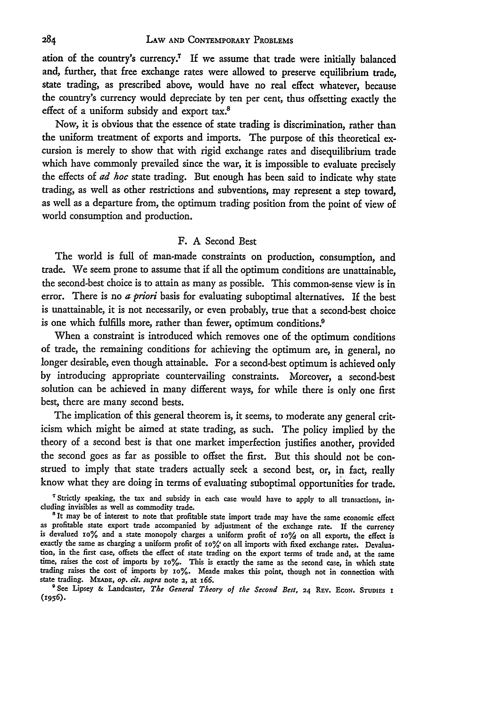#### **LAW AND** CONTEMPORARY PROBLEMS

ation of the country's currency.<sup>7</sup> If we assume that trade were initially balanced and, further, that free exchange rates were allowed to preserve equilibrium trade, state trading, as prescribed above, would have no real effect whatever, because the country's currency would depreciate by ten per cent, thus offsetting exactly the effect of a uniform subsidy and export tax.8

Now, it is obvious that the essence of state trading is discrimination, rather than the uniform treatment of exports and imports. The purpose of this theoretical excursion is merely to show that with rigid exchange rates and disequilibrium trade which have commonly prevailed since the war, it is impossible to evaluate precisely the effects of *ad hoe* state trading. But enough has been said to indicate why state trading, as well as other restrictions and subventions, may represent a step toward, as well as a departure from, the optimum trading position from the point of view of world consumption and production.

### F. A Second Best

The world is full of man-made constraints on production, consumption, and trade. We seem prone to assume that if all the optimum conditions are unattainable, the second-best choice is to attain as many as possible. This common-sense view is in error. There is no *a priori* basis for evaluating suboptimal alternatives. If the best is unattainable, it is not necessarily, or even probably, true that a second-best choice is one which fulfills more, rather than fewer, optimum conditions.<sup>9</sup>

When a constraint is introduced which removes one of the optimum conditions of trade, the remaining conditions for achieving the optimum are, in general, no longer desirable, even though attainable. For a second-best optimum is achieved only by introducing appropriate countervailing constraints. Moreover, a second-best solution can be achieved in many different ways, for while there is only one first best, there are many second bests.

The implication of this general theorem is, it seems, to moderate any general criticism which might be aimed at state trading, as such. The policy implied by the theory of a second best is that one market imperfection justifies another, provided the second goes as far as possible to offset the first. But this should not be construed to imply that state traders actually seek a second best, or, in fact, really know what they are doing in terms of evaluating suboptimal opportunities for trade.

**'** Strictly speaking, the tax and subsidy in each case would have to apply to all transactions, including invisibles as well as commodity trade.<br><sup>8</sup>It may be of interest to note that profitable state import trade may have the same economic effect

**'** See Lipsey **&** Landcaster, *The General Theory of the Second Best,* **24 REv.** EcoN. **STuDIES I** (1956).

as profitable state export trade accompanied by adjustment of the exchange rate. If the currency is devalued 10% and a state monopoly charges a uniform profit of 10% on all exports, the effect is exactly the same as charging a uniform profit of io%' on all imports with fixed exchange rates. Devaluation, in the first case, offsets the effect of state trading on the export terms of trade and, at the same time, raises the cost of imports **by** io%. This is exactly the same as the second case, in which state trading raises the cost of imports **by** io%. Meade makes this point, though not in connection with state trading. MEADE, op. cit. supra note 2, at 166.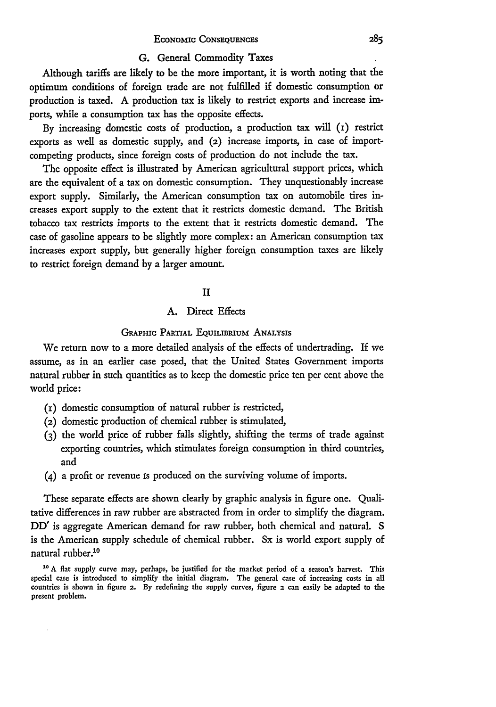#### **G.** General Commodity Taxes

Although tariffs are likely to be the more important, it is worth noting that the optimum conditions of foreign trade are not fulfilled if domestic consumption or production is taxed. A production tax is likely to restrict exports and increase imports, while a consumption tax has the opposite effects.

By increasing domestic costs of production, a production tax will **(I)** restrict exports as well as domestic supply, and **(2)** increase imports, in case of importcompeting products, since foreign costs of production do not include the tax.

The opposite effect is illustrated by American agricultural support prices, which are the equivalent of a tax on domestic consumption. They unquestionably increase export supply. Similarly, the American consumption tax on automobile tires increases export supply to the extent that it restricts domestic demand. The British tobacco tax restricts imports to the extent that it restricts domestic demand. The case of gasoline appears to be slightly more complex: an American consumption tax increases export supply, but generally higher foreign consumption taxes are likely to restrict foreign demand by a larger amount.

#### II

#### **A.** Direct Effects

#### **GRAPHIC** PARTIAL **EQUILIBRIUM** ANALYSIS

We return now to a more detailed analysis of the effects of undertrading. If we assume, as in an earlier case posed, that the United States Government imports natural rubber in such quantities as to keep the domestic price ten per cent above the world price:

- **(i)** domestic consumption of natural rubber is restricted,
- **(2)** domestic production of chemical rubber is stimulated,
- **(3)** the world price of rubber falls slightly, shifting the terms of trade against exporting countries, which stimulates foreign consumption in third countries, and
- **(4)** a profit or revenue **Is** produced on the surviving volume of imports.

These separate effects are shown dearly **by** graphic analysis in figure one. Qualitative differences in raw rubber are abstracted from in order to simplify the diagram. **DD'** is aggregate American demand for raw rubber, both chemical and natural. **S** is the American supply schedule of chemical rubber. Sx is world export supply of natural rubber.'

**<sup>5</sup> 'A** flat supply curve may, perhaps, be justified for the market period of a season's harvest. This special case is introduced to simplify the initial diagram. The general case of increasing costs in all countries is shown in figure **2. By** redefining the supply curves, figure **2** can easily be adapted to the present problem.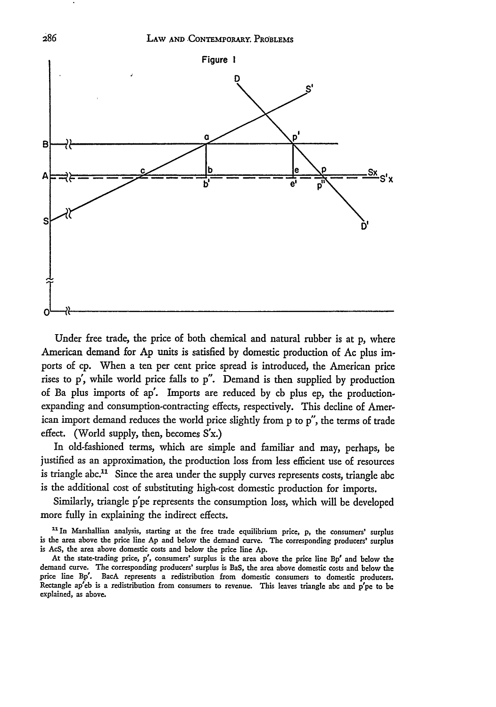

Under free trade, the price of both chemical and natural rubber is at p, where American demand for Ap units is satisfied by domestic production of Ac plus imports of cp. When a ten per cent price spread is introduced, the American price rises to **p',** while world price falls to p". Demand is then supplied by production of Ba plus imports of ap'. Imports are reduced by cb plus ep, the productionexpanding and consumption-contracting effects, respectively. This decline of American import demand reduces the world price slightly from p to p", the terms of trade effect. (World supply, then, becomes S'x.)

In old-fashioned terms, which are simple and familiar and may, perhaps, be justified as an approximation, the production loss from less efficient use of resources is triangle abc.<sup>11</sup> Since the area under the supply curves represents costs, triangle abc is the additional cost of substituting high-cost domestic production for imports.

Similarly, triangle p'pe represents the consumption loss, which will be developed more fully in explaining the indirect effects.

286

<sup>&</sup>quot; <sup>1</sup> In Marshallian analysis, starting at the free trade equilibrium price, p, the consumers' surplus is the area above the price line **Ap** and below the demand curve. The corresponding producers' surplus is AcS, the area above domestic costs and below the price line **Ap.**

At the state-trading price, **p",** consumers' surplus is the area above the price line **Bp'** and below the demand curve. The corresponding producers' surplus is BaS, the area above domestic costs and below the price line Bp'. BacA represents a redistribution from domestic consumers to domestic producers. Rectangle ap'eb is a redistribution from consumers to revenue. This leaves triangle abc and **p'pe** to be explained, as above.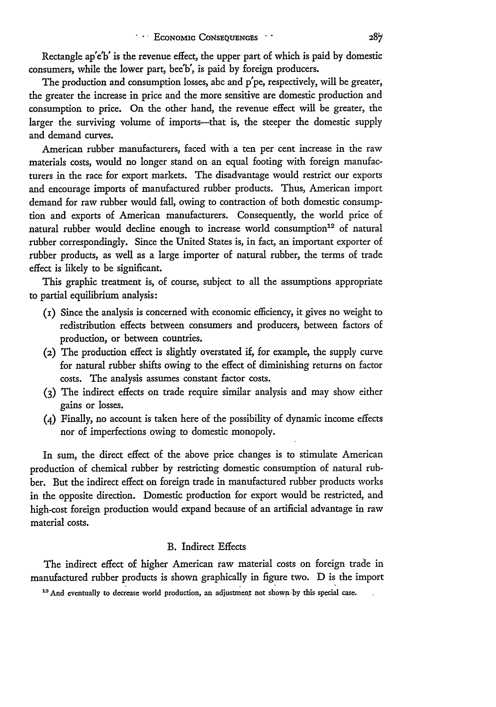Rectangle ap'e'b' is the revenue effect, the upper part of which is paid by domestic consumers, while the lower part, bee'b', is paid by foreign producers.

The production and consumption losses, abc and p'pe, respectively, will be greater, the greater the increase in price and the more sensitive are domestic production and consumption to price. On the other hand, the revenue effect will be greater, the larger the surviving volume of imports---that is, the steeper the domestic supply and demand curves.

American rubber manufacturers, faced with a ten per cent increase in the raw materials costs, would no longer stand on an equal footing with foreign manufacturers in the race for export markets. The disadvantage would restrict our exports and encourage imports of manufactured rubber products. Thus, American import demand for raw rubber would fall, owing to contraction of both domestic consumption and exports of American manufacturers. Consequently, the world price of natural rubber would decline enough to increase world consumption<sup>12</sup> of natural rubber correspondingly. Since the United States is, in fact, an important exporter of rubber products, as well as a large importer of natural rubber, the terms of trade effect is likely to be significant.

This graphic treatment is, of course, subject to all the assumptions appropriate to partial equilibrium analysis:

- (i) Since the analysis is concerned with economic efficiency, it gives no weight to redistribution effects between consumers and producers, between factors of production, or between countries.
- (2) The production effect is slightly overstated if, for example, the supply curve for natural rubber shifts owing to the effect of diminishing returns on factor costs. The analysis assumes constant factor costs.
- **(3)** The indirect effects on trade require similar analysis and may show either gains or losses.
- (4) Finally, no account is taken here of the possibility of dynamic income effects nor of imperfections owing to domestic monopoly.

In sum, the direct effect of the above price changes is to stimulate American production of chemical rubber by restricting domestic consumption of natural rubber. But the indirect effect on foreign trade in manufactured rubber products works in the opposite direction. Domestic production for export would be restricted, and high-cost foreign production would expand because of an artificial advantage in raw material costs.

#### B. Indirect Effects

The indirect effect of higher American raw material costs on foreign trade in manufactured rubber products is shown graphically in figure two. D is the import

<sup>13</sup> And eventually to decrease world production, an adjustment not shown by this special case.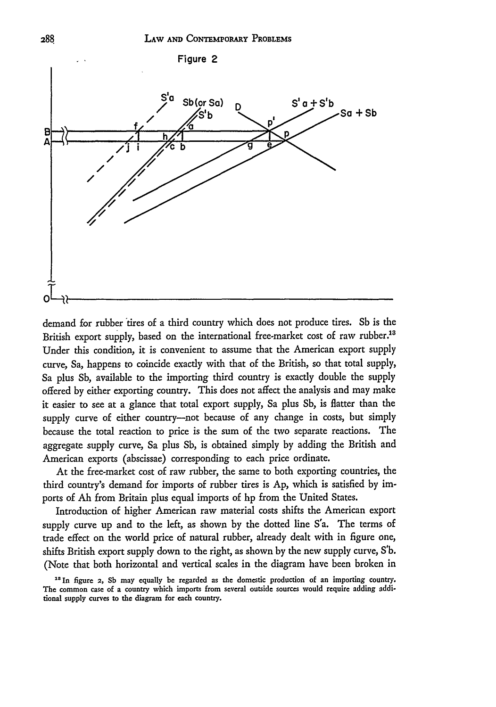

demand for rubber tires of a third country which does not produce tires. Sb is the British export supply, based on the international free-market cost of raw rubber.<sup>18</sup> Under this condition, it is convenient to assume that the American export supply curve, Sa, happens to coincide exactly with that of the British, so that total supply, Sa plus Sb, available to the importing third country is exactly double the supply offered by either exporting country. This does not affect the analysis and may make it easier to see at a glance that total export supply, Sa plus Sb, is flatter than the supply curve of either country-not because of any change in costs, but simply because the total reaction to price is the sum of the two separate reactions. The aggregate supply curve, Sa plus Sb, is obtained simply by adding the British and American exports (abscissae) corresponding to each price ordinate.

At the free-market cost of raw rubber, the same to both exporting countries, the third country's demand for imports of rubber tires is Ap, which is satisfied by imports of Ah from Britain plus equal imports of hp from the United States.

Introduction of higher American raw material costs shifts the American export supply curve up and to the left, as shown by the dotted line S'a. The terms of trade effect on the world price of natural rubber, already dealt with in figure one, shifts British export supply down to the right, as shown by the new supply curve, S'b. (Note that both horizontal and vertical scales in the diagram have been broken in

*<sup>&</sup>quot;* **in figure 2, Sb may equally be regarded as the domestic production of an importing country. The common case of a country which imports from several outside sources would require adding additional supply curves to the diagram for each country.**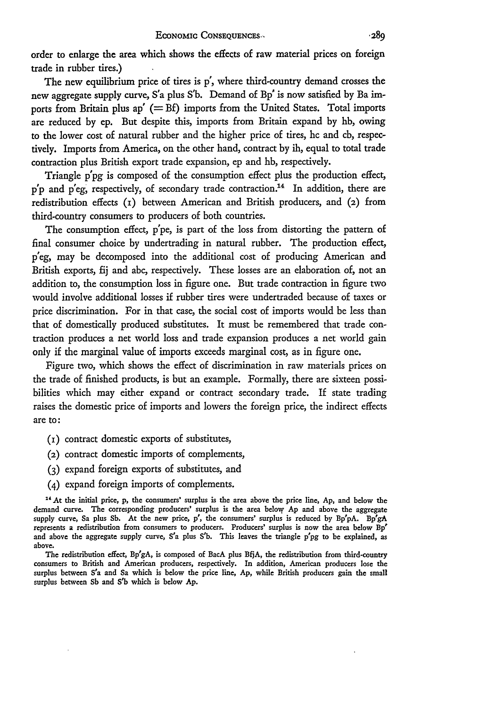order to enlarge the area which shows the effects of raw material prices on foreign trade in rubber tires.)

The new equilibrium price of tires is p', where third-country demand crosses the new aggregate supply curve, S'a plus S'b. Demand of Bp' is now satisfied by Ba imports from Britain plus ap' **(=** Bf) imports from the United States. Total imports are reduced by ep. But despite this, imports from Britain expand by hb, owing to the lower cost of natural rubber and the higher price of tires, hc and cb, respectively. Imports from America, on the other hand, contract by ih, equal to total trade contraction plus British export trade expansion, ep and hb, respectively.

Triangle **p'pg** is composed of the consumption effect plus the production effect, p'p and p'eg, respectively, of secondary trade contraction.<sup>14</sup> In addition, there are redistribution effects (i) between American and British producers, and **(2)** from third-country consumers to producers of both countries.

The consumption effect, p'pe, is part of the loss from distorting the pattern of final consumer choice by undertrading in natural rubber. The production effect, p'eg, may be decomposed into the additional cost of producing American and British exports, fij and abc, respectively. These losses are an elaboration of, not an addition to, the consumption loss in figure one. But trade contraction in figure two would involve additional losses if rubber tires were undertraded because of taxes or price discrimination. For in that case, the social cost of imports would be less than that of domestically produced substitutes. It must be remembered that trade contraction produces a net world loss and trade expansion produces a net world gain only if the marginal value of imports exceeds marginal cost, as in figure one.

Figure two, which shows the effect of discrimination in raw materials prices on the trade of finished products, is but an example. Formally, there are sixteen possibilities which may either expand or contract secondary trade. If state trading raises the domestic price of imports and lowers the foreign price, the indirect effects are to:

- (I) contract domestic exports of substitutes,
- (2) contract domestic imports of complements,
- **(3)** expand foreign exports of substitutes, and
- (4) expand foreign imports of complements.

<sup>14</sup> At the initial price, p, the consumers' surplus is the area above the price line, Ap, and below the demand curve. The corresponding producers' surplus is the area below Ap and above the aggregate supply curve, Sa plus **Sb.** At the new price, p', the consumers' surplus is reduced **by** Bp'pA. **Bp'gA** represents a redistribution from consumers to producers. Producers' surplus is now the area below **Bp'** and above the aggregate supply curve, S'a plus S'b. This leaves the triangle p'pg to be explained, as above.

The redistribution effect, Bp'gA, is composed of BacA plus BfjA, the redistribution from third-country consumers to British and American producers, respectively. In addition, American producers lose the surplus between S'a and Sa which is below the price line, Ap, while British producers gain the small surplus between Sb and **S'b** which is below Ap.